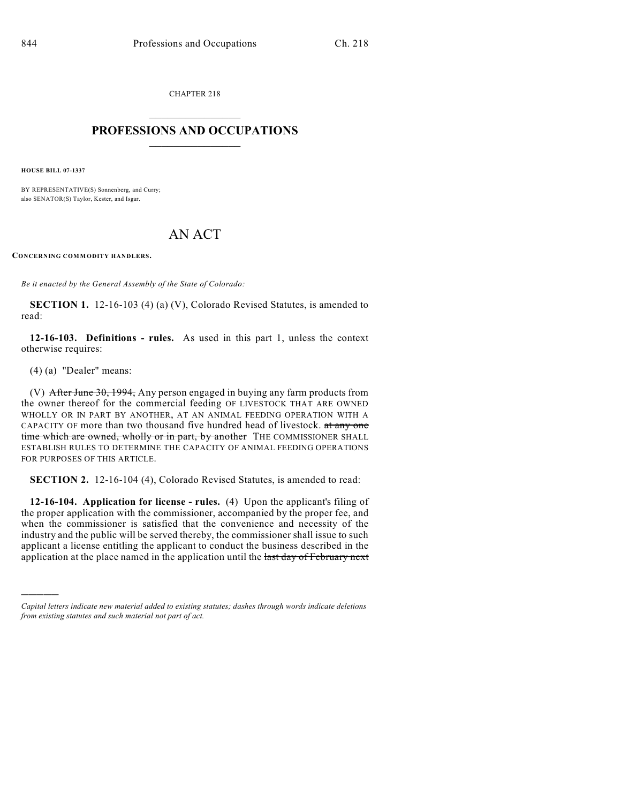CHAPTER 218  $\mathcal{L}_\text{max}$  . The set of the set of the set of the set of the set of the set of the set of the set of the set of the set of the set of the set of the set of the set of the set of the set of the set of the set of the set

## **PROFESSIONS AND OCCUPATIONS**  $\frac{1}{2}$  ,  $\frac{1}{2}$  ,  $\frac{1}{2}$  ,  $\frac{1}{2}$  ,  $\frac{1}{2}$  ,  $\frac{1}{2}$

**HOUSE BILL 07-1337**

BY REPRESENTATIVE(S) Sonnenberg, and Curry; also SENATOR(S) Taylor, Kester, and Isgar.

## AN ACT

**CONCERNING COMMODITY HANDLERS.**

*Be it enacted by the General Assembly of the State of Colorado:*

**SECTION 1.** 12-16-103 (4) (a) (V), Colorado Revised Statutes, is amended to read:

**12-16-103. Definitions - rules.** As used in this part 1, unless the context otherwise requires:

(4) (a) "Dealer" means:

)))))

(V) After June 30, 1994, Any person engaged in buying any farm products from the owner thereof for the commercial feeding OF LIVESTOCK THAT ARE OWNED WHOLLY OR IN PART BY ANOTHER, AT AN ANIMAL FEEDING OPERATION WITH A CAPACITY OF more than two thousand five hundred head of livestock. at any one time which are owned, wholly or in part, by another THE COMMISSIONER SHALL ESTABLISH RULES TO DETERMINE THE CAPACITY OF ANIMAL FEEDING OPERATIONS FOR PURPOSES OF THIS ARTICLE.

**SECTION 2.** 12-16-104 (4), Colorado Revised Statutes, is amended to read:

**12-16-104. Application for license - rules.** (4) Upon the applicant's filing of the proper application with the commissioner, accompanied by the proper fee, and when the commissioner is satisfied that the convenience and necessity of the industry and the public will be served thereby, the commissioner shall issue to such applicant a license entitling the applicant to conduct the business described in the application at the place named in the application until the last day of February next

*Capital letters indicate new material added to existing statutes; dashes through words indicate deletions from existing statutes and such material not part of act.*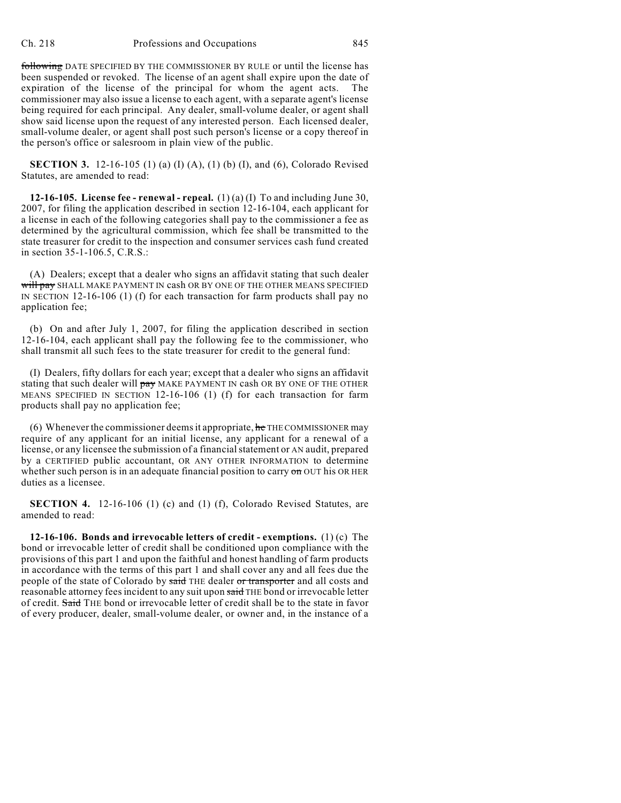following DATE SPECIFIED BY THE COMMISSIONER BY RULE or until the license has been suspended or revoked. The license of an agent shall expire upon the date of expiration of the license of the principal for whom the agent acts. The commissioner may also issue a license to each agent, with a separate agent's license being required for each principal. Any dealer, small-volume dealer, or agent shall show said license upon the request of any interested person. Each licensed dealer, small-volume dealer, or agent shall post such person's license or a copy thereof in the person's office or salesroom in plain view of the public.

**SECTION 3.** 12-16-105 (1) (a) (I) (A), (1) (b) (I), and (6), Colorado Revised Statutes, are amended to read:

**12-16-105.** License fee - renewal - repeal.  $(1)(a)(I)$  To and including June 30, 2007, for filing the application described in section 12-16-104, each applicant for a license in each of the following categories shall pay to the commissioner a fee as determined by the agricultural commission, which fee shall be transmitted to the state treasurer for credit to the inspection and consumer services cash fund created in section 35-1-106.5, C.R.S.:

(A) Dealers; except that a dealer who signs an affidavit stating that such dealer will pay SHALL MAKE PAYMENT IN cash OR BY ONE OF THE OTHER MEANS SPECIFIED IN SECTION 12-16-106 (1) (f) for each transaction for farm products shall pay no application fee;

(b) On and after July 1, 2007, for filing the application described in section 12-16-104, each applicant shall pay the following fee to the commissioner, who shall transmit all such fees to the state treasurer for credit to the general fund:

(I) Dealers, fifty dollars for each year; except that a dealer who signs an affidavit stating that such dealer will pay MAKE PAYMENT IN cash OR BY ONE OF THE OTHER MEANS SPECIFIED IN SECTION 12-16-106 (1) (f) for each transaction for farm products shall pay no application fee;

(6) Whenever the commissioner deems it appropriate,  $he$  THE COMMISSIONER may require of any applicant for an initial license, any applicant for a renewal of a license, or any licensee the submission of a financial statement or AN audit, prepared by a CERTIFIED public accountant, OR ANY OTHER INFORMATION to determine whether such person is in an adequate financial position to carry  $\sigma n$  OUT his OR HER duties as a licensee.

**SECTION 4.** 12-16-106 (1) (c) and (1) (f), Colorado Revised Statutes, are amended to read:

**12-16-106. Bonds and irrevocable letters of credit - exemptions.** (1) (c) The bond or irrevocable letter of credit shall be conditioned upon compliance with the provisions of this part 1 and upon the faithful and honest handling of farm products in accordance with the terms of this part 1 and shall cover any and all fees due the people of the state of Colorado by said THE dealer or transporter and all costs and reasonable attorney fees incident to any suit upon said THE bond or irrevocable letter of credit. Said THE bond or irrevocable letter of credit shall be to the state in favor of every producer, dealer, small-volume dealer, or owner and, in the instance of a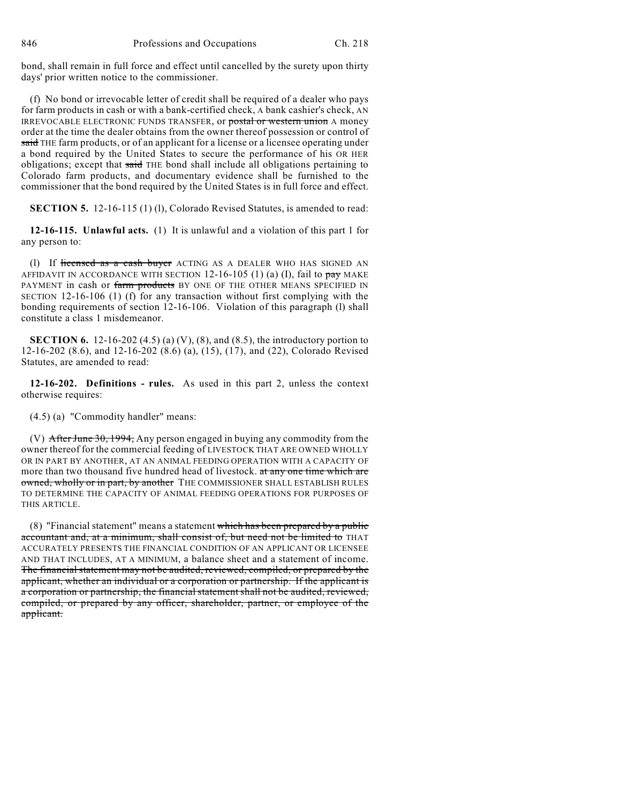bond, shall remain in full force and effect until cancelled by the surety upon thirty days' prior written notice to the commissioner.

(f) No bond or irrevocable letter of credit shall be required of a dealer who pays for farm products in cash or with a bank-certified check, A bank cashier's check, AN IRREVOCABLE ELECTRONIC FUNDS TRANSFER, or postal or western union A money order at the time the dealer obtains from the owner thereof possession or control of said THE farm products, or of an applicant for a license or a licensee operating under a bond required by the United States to secure the performance of his OR HER obligations; except that said THE bond shall include all obligations pertaining to Colorado farm products, and documentary evidence shall be furnished to the commissioner that the bond required by the United States is in full force and effect.

**SECTION 5.** 12-16-115 (1) (1), Colorado Revised Statutes, is amended to read:

**12-16-115. Unlawful acts.** (1) It is unlawful and a violation of this part 1 for any person to:

(1) If licensed as a cash buyer ACTING AS A DEALER WHO HAS SIGNED AN AFFIDAVIT IN ACCORDANCE WITH SECTION  $12-16-105$  (1) (a) (I), fail to pay MAKE PAYMENT in cash or farm products BY ONE OF THE OTHER MEANS SPECIFIED IN SECTION 12-16-106 (1) (f) for any transaction without first complying with the bonding requirements of section 12-16-106. Violation of this paragraph (l) shall constitute a class 1 misdemeanor.

**SECTION 6.** 12-16-202 (4.5) (a) (V), (8), and (8.5), the introductory portion to 12-16-202 (8.6), and 12-16-202 (8.6) (a), (15), (17), and (22), Colorado Revised Statutes, are amended to read:

**12-16-202. Definitions - rules.** As used in this part 2, unless the context otherwise requires:

(4.5) (a) "Commodity handler" means:

(V)  $\overline{\text{After June 30, 1994}}$ , Any person engaged in buying any commodity from the owner thereof for the commercial feeding of LIVESTOCK THAT ARE OWNED WHOLLY OR IN PART BY ANOTHER, AT AN ANIMAL FEEDING OPERATION WITH A CAPACITY OF more than two thousand five hundred head of livestock. at any one time which are owned, wholly or in part, by another THE COMMISSIONER SHALL ESTABLISH RULES TO DETERMINE THE CAPACITY OF ANIMAL FEEDING OPERATIONS FOR PURPOSES OF THIS ARTICLE.

(8) "Financial statement" means a statement which has been prepared by a public accountant and, at a minimum, shall consist of, but need not be limited to THAT ACCURATELY PRESENTS THE FINANCIAL CONDITION OF AN APPLICANT OR LICENSEE AND THAT INCLUDES, AT A MINIMUM, a balance sheet and a statement of income. The financial statement may not be audited, reviewed, compiled, or prepared by the applicant, whether an individual or a corporation or partnership. If the applicant is a corporation or partnership, the financial statement shall not be audited, reviewed, compiled, or prepared by any officer, shareholder, partner, or employee of the applicant.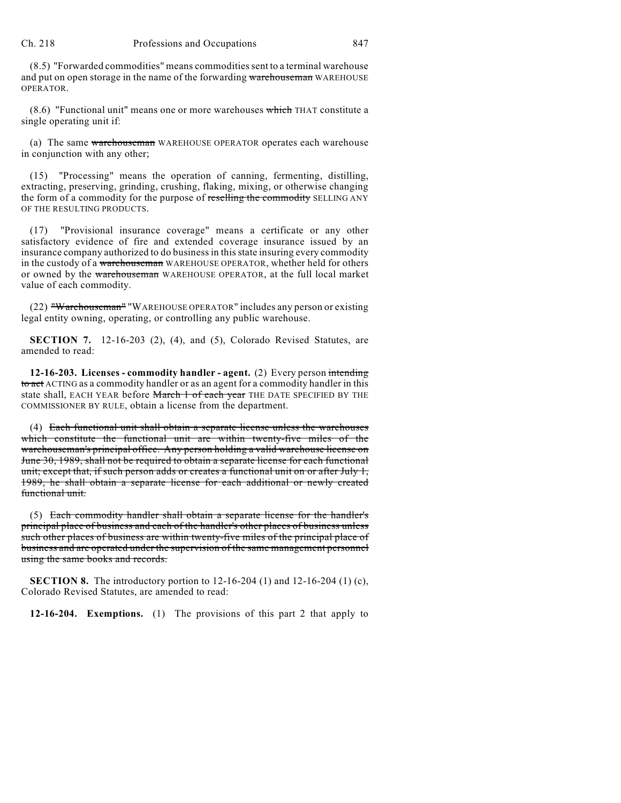(8.5) "Forwarded commodities" means commodities sent to a terminal warehouse and put on open storage in the name of the forwarding warehouseman WAREHOUSE OPERATOR.

(8.6) "Functional unit" means one or more warehouses which THAT constitute a single operating unit if:

(a) The same warehouseman WAREHOUSE OPERATOR operates each warehouse in conjunction with any other;

(15) "Processing" means the operation of canning, fermenting, distilling, extracting, preserving, grinding, crushing, flaking, mixing, or otherwise changing the form of a commodity for the purpose of reselling the commodity SELLING ANY OF THE RESULTING PRODUCTS.

(17) "Provisional insurance coverage" means a certificate or any other satisfactory evidence of fire and extended coverage insurance issued by an insurance company authorized to do business in this state insuring every commodity in the custody of a warehouseman WAREHOUSE OPERATOR, whether held for others or owned by the warehouseman WAREHOUSE OPERATOR, at the full local market value of each commodity.

(22) "Warehouseman" "WAREHOUSE OPERATOR" includes any person or existing legal entity owning, operating, or controlling any public warehouse.

**SECTION 7.** 12-16-203 (2), (4), and (5), Colorado Revised Statutes, are amended to read:

**12-16-203. Licenses - commodity handler - agent.** (2) Every person intending to act ACTING as a commodity handler or as an agent for a commodity handler in this state shall, EACH YEAR before March 1 of each year THE DATE SPECIFIED BY THE COMMISSIONER BY RULE, obtain a license from the department.

(4) Each functional unit shall obtain a separate license unless the warehouses which constitute the functional unit are within twenty-five miles of the warehouseman's principal office. Any person holding a valid warehouse license on June 30, 1989, shall not be required to obtain a separate license for each functional unit; except that, if such person adds or creates a functional unit on or after July 1, 1989, he shall obtain a separate license for each additional or newly created functional unit.

(5) Each commodity handler shall obtain a separate license for the handler's principal place of business and each of the handler's other places of business unless such other places of business are within twenty-five miles of the principal place of business and are operated under the supervision of the same management personnel using the same books and records.

**SECTION 8.** The introductory portion to 12-16-204 (1) and 12-16-204 (1) (c), Colorado Revised Statutes, are amended to read:

**12-16-204. Exemptions.** (1) The provisions of this part 2 that apply to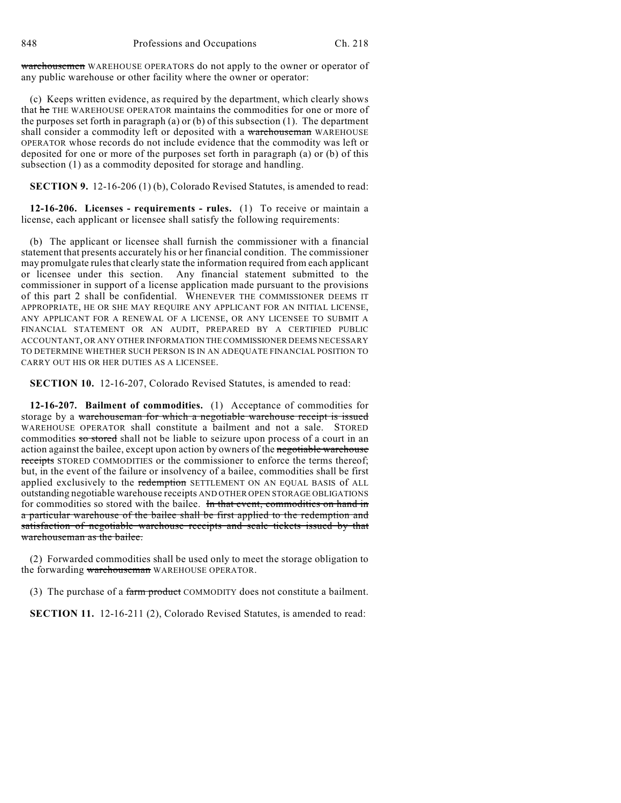warehousemen WAREHOUSE OPERATORS do not apply to the owner or operator of any public warehouse or other facility where the owner or operator:

(c) Keeps written evidence, as required by the department, which clearly shows that he THE WAREHOUSE OPERATOR maintains the commodities for one or more of the purposes set forth in paragraph (a) or (b) of this subsection (1). The department shall consider a commodity left or deposited with a warehouseman WAREHOUSE OPERATOR whose records do not include evidence that the commodity was left or deposited for one or more of the purposes set forth in paragraph (a) or (b) of this subsection (1) as a commodity deposited for storage and handling.

**SECTION 9.** 12-16-206 (1) (b), Colorado Revised Statutes, is amended to read:

**12-16-206. Licenses - requirements - rules.** (1) To receive or maintain a license, each applicant or licensee shall satisfy the following requirements:

(b) The applicant or licensee shall furnish the commissioner with a financial statement that presents accurately his or her financial condition. The commissioner may promulgate rules that clearly state the information required from each applicant or licensee under this section. Any financial statement submitted to the commissioner in support of a license application made pursuant to the provisions of this part 2 shall be confidential. WHENEVER THE COMMISSIONER DEEMS IT APPROPRIATE, HE OR SHE MAY REQUIRE ANY APPLICANT FOR AN INITIAL LICENSE, ANY APPLICANT FOR A RENEWAL OF A LICENSE, OR ANY LICENSEE TO SUBMIT A FINANCIAL STATEMENT OR AN AUDIT, PREPARED BY A CERTIFIED PUBLIC ACCOUNTANT, OR ANY OTHER INFORMATION THE COMMISSIONER DEEMS NECESSARY TO DETERMINE WHETHER SUCH PERSON IS IN AN ADEQUATE FINANCIAL POSITION TO CARRY OUT HIS OR HER DUTIES AS A LICENSEE.

**SECTION 10.** 12-16-207, Colorado Revised Statutes, is amended to read:

**12-16-207. Bailment of commodities.** (1) Acceptance of commodities for storage by a warehouseman for which a negotiable warehouse receipt is issued WAREHOUSE OPERATOR shall constitute a bailment and not a sale. STORED commodities so stored shall not be liable to seizure upon process of a court in an action against the bailee, except upon action by owners of the negotiable warehouse receipts STORED COMMODITIES or the commissioner to enforce the terms thereof; but, in the event of the failure or insolvency of a bailee, commodities shall be first applied exclusively to the redemption SETTLEMENT ON AN EQUAL BASIS of ALL outstanding negotiable warehouse receipts AND OTHER OPEN STORAGE OBLIGATIONS for commodities so stored with the bailee. In that event, commodities on hand in a particular warehouse of the bailee shall be first applied to the redemption and satisfaction of negotiable warehouse receipts and scale tickets issued by that warehouseman as the bailee.

(2) Forwarded commodities shall be used only to meet the storage obligation to the forwarding warehouseman WAREHOUSE OPERATOR.

(3) The purchase of a farm product COMMODITY does not constitute a bailment.

**SECTION 11.** 12-16-211 (2), Colorado Revised Statutes, is amended to read: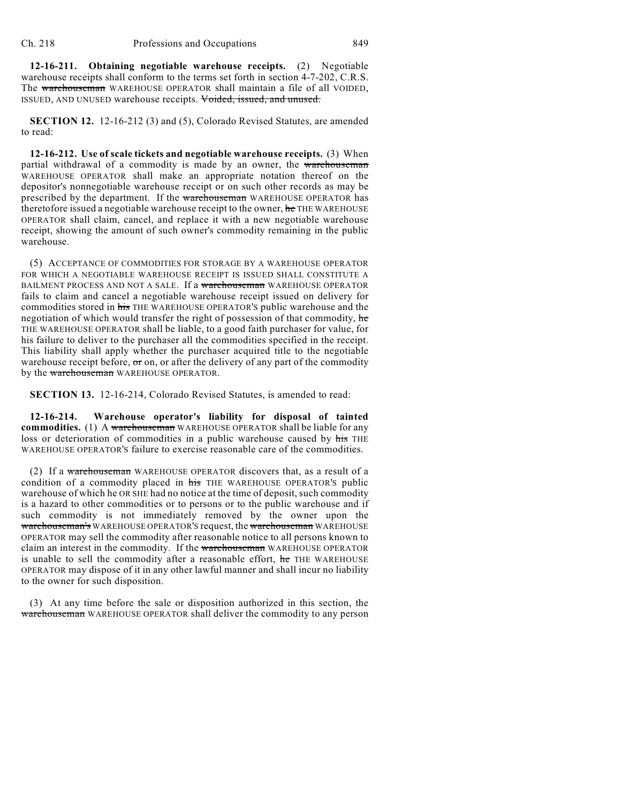**12-16-211. Obtaining negotiable warehouse receipts.** (2) Negotiable warehouse receipts shall conform to the terms set forth in section 4-7-202, C.R.S. The warehouseman WAREHOUSE OPERATOR shall maintain a file of all VOIDED, ISSUED, AND UNUSED warehouse receipts. Voided, issued, and unused.

**SECTION 12.** 12-16-212 (3) and (5), Colorado Revised Statutes, are amended to read:

**12-16-212. Use of scale tickets and negotiable warehouse receipts.** (3) When partial withdrawal of a commodity is made by an owner, the warehouseman WAREHOUSE OPERATOR shall make an appropriate notation thereof on the depositor's nonnegotiable warehouse receipt or on such other records as may be prescribed by the department. If the warehouseman WAREHOUSE OPERATOR has theretofore issued a negotiable warehouse receipt to the owner, he THE WAREHOUSE OPERATOR shall claim, cancel, and replace it with a new negotiable warehouse receipt, showing the amount of such owner's commodity remaining in the public warehouse.

(5) ACCEPTANCE OF COMMODITIES FOR STORAGE BY A WAREHOUSE OPERATOR FOR WHICH A NEGOTIABLE WAREHOUSE RECEIPT IS ISSUED SHALL CONSTITUTE A BAILMENT PROCESS AND NOT A SALE. If a warehouseman WAREHOUSE OPERATOR fails to claim and cancel a negotiable warehouse receipt issued on delivery for commodities stored in his THE WAREHOUSE OPERATOR'S public warehouse and the negotiation of which would transfer the right of possession of that commodity, he THE WAREHOUSE OPERATOR shall be liable, to a good faith purchaser for value, for his failure to deliver to the purchaser all the commodities specified in the receipt. This liability shall apply whether the purchaser acquired title to the negotiable warehouse receipt before,  $\sigma$  on, or after the delivery of any part of the commodity by the warehouseman WAREHOUSE OPERATOR.

**SECTION 13.** 12-16-214, Colorado Revised Statutes, is amended to read:

**12-16-214. Warehouse operator's liability for disposal of tainted commodities.** (1) A warehouse man WAREHOUSE OPERATOR shall be liable for any loss or deterioration of commodities in a public warehouse caused by his THE WAREHOUSE OPERATOR'S failure to exercise reasonable care of the commodities.

(2) If a warehouseman WAREHOUSE OPERATOR discovers that, as a result of a condition of a commodity placed in his THE WAREHOUSE OPERATOR'S public warehouse of which he OR SHE had no notice at the time of deposit, such commodity is a hazard to other commodities or to persons or to the public warehouse and if such commodity is not immediately removed by the owner upon the warehouseman's WAREHOUSE OPERATOR'S request, the warehouseman WAREHOUSE OPERATOR may sell the commodity after reasonable notice to all persons known to claim an interest in the commodity. If the warehouseman WAREHOUSE OPERATOR is unable to sell the commodity after a reasonable effort, he THE WAREHOUSE OPERATOR may dispose of it in any other lawful manner and shall incur no liability to the owner for such disposition.

(3) At any time before the sale or disposition authorized in this section, the warehouseman WAREHOUSE OPERATOR shall deliver the commodity to any person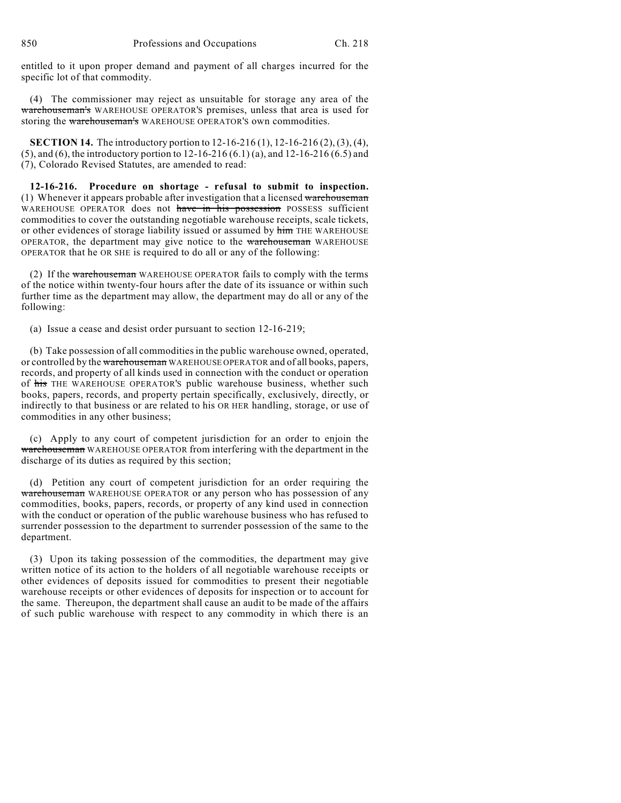entitled to it upon proper demand and payment of all charges incurred for the specific lot of that commodity.

(4) The commissioner may reject as unsuitable for storage any area of the warehouseman's WAREHOUSE OPERATOR'S premises, unless that area is used for storing the warehouseman's WAREHOUSE OPERATOR'S own commodities.

**SECTION 14.** The introductory portion to 12-16-216 (1), 12-16-216 (2), (3), (4), (5), and (6), the introductory portion to 12-16-216 (6.1) (a), and 12-16-216 (6.5) and (7), Colorado Revised Statutes, are amended to read:

**12-16-216. Procedure on shortage - refusal to submit to inspection.** (1) Whenever it appears probable after investigation that a licensed warehouseman WAREHOUSE OPERATOR does not have in his possession POSSESS sufficient commodities to cover the outstanding negotiable warehouse receipts, scale tickets, or other evidences of storage liability issued or assumed by him THE WAREHOUSE OPERATOR, the department may give notice to the warehouseman WAREHOUSE OPERATOR that he OR SHE is required to do all or any of the following:

(2) If the warehouseman WAREHOUSE OPERATOR fails to comply with the terms of the notice within twenty-four hours after the date of its issuance or within such further time as the department may allow, the department may do all or any of the following:

(a) Issue a cease and desist order pursuant to section 12-16-219;

(b) Take possession of all commodities in the public warehouse owned, operated, or controlled by the warehouseman WAREHOUSE OPERATOR and of all books, papers, records, and property of all kinds used in connection with the conduct or operation of his THE WAREHOUSE OPERATOR'S public warehouse business, whether such books, papers, records, and property pertain specifically, exclusively, directly, or indirectly to that business or are related to his OR HER handling, storage, or use of commodities in any other business;

(c) Apply to any court of competent jurisdiction for an order to enjoin the warehouseman WAREHOUSE OPERATOR from interfering with the department in the discharge of its duties as required by this section;

(d) Petition any court of competent jurisdiction for an order requiring the warehouseman WAREHOUSE OPERATOR or any person who has possession of any commodities, books, papers, records, or property of any kind used in connection with the conduct or operation of the public warehouse business who has refused to surrender possession to the department to surrender possession of the same to the department.

(3) Upon its taking possession of the commodities, the department may give written notice of its action to the holders of all negotiable warehouse receipts or other evidences of deposits issued for commodities to present their negotiable warehouse receipts or other evidences of deposits for inspection or to account for the same. Thereupon, the department shall cause an audit to be made of the affairs of such public warehouse with respect to any commodity in which there is an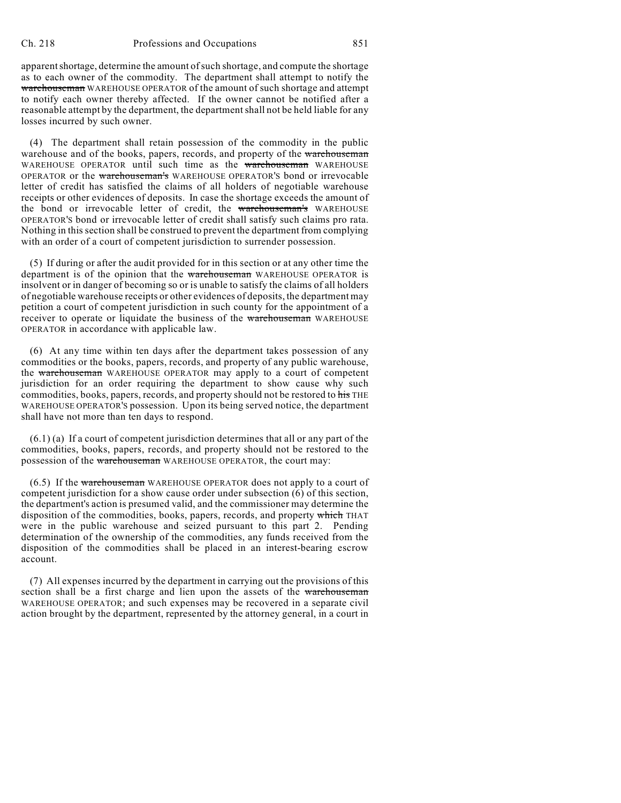apparent shortage, determine the amount of such shortage, and compute the shortage as to each owner of the commodity. The department shall attempt to notify the warehouseman WAREHOUSE OPERATOR of the amount of such shortage and attempt to notify each owner thereby affected. If the owner cannot be notified after a reasonable attempt by the department, the department shall not be held liable for any losses incurred by such owner.

(4) The department shall retain possession of the commodity in the public warehouse and of the books, papers, records, and property of the warehouseman WAREHOUSE OPERATOR until such time as the warehouseman WAREHOUSE OPERATOR or the warehouseman's WAREHOUSE OPERATOR'S bond or irrevocable letter of credit has satisfied the claims of all holders of negotiable warehouse receipts or other evidences of deposits. In case the shortage exceeds the amount of the bond or irrevocable letter of credit, the warehouseman's WAREHOUSE OPERATOR'S bond or irrevocable letter of credit shall satisfy such claims pro rata. Nothing in this section shall be construed to prevent the department from complying with an order of a court of competent jurisdiction to surrender possession.

(5) If during or after the audit provided for in this section or at any other time the department is of the opinion that the warehouseman WAREHOUSE OPERATOR is insolvent or in danger of becoming so or is unable to satisfy the claims of all holders of negotiable warehouse receipts or other evidences of deposits, the department may petition a court of competent jurisdiction in such county for the appointment of a receiver to operate or liquidate the business of the warehouseman WAREHOUSE OPERATOR in accordance with applicable law.

(6) At any time within ten days after the department takes possession of any commodities or the books, papers, records, and property of any public warehouse, the warehouseman WAREHOUSE OPERATOR may apply to a court of competent jurisdiction for an order requiring the department to show cause why such commodities, books, papers, records, and property should not be restored to his THE WAREHOUSE OPERATOR'S possession. Upon its being served notice, the department shall have not more than ten days to respond.

 $(6.1)$  (a) If a court of competent jurisdiction determines that all or any part of the commodities, books, papers, records, and property should not be restored to the possession of the warehouseman WAREHOUSE OPERATOR, the court may:

(6.5) If the warehouseman WAREHOUSE OPERATOR does not apply to a court of competent jurisdiction for a show cause order under subsection (6) of this section, the department's action is presumed valid, and the commissioner may determine the disposition of the commodities, books, papers, records, and property which THAT were in the public warehouse and seized pursuant to this part 2. Pending determination of the ownership of the commodities, any funds received from the disposition of the commodities shall be placed in an interest-bearing escrow account.

(7) All expenses incurred by the department in carrying out the provisions of this section shall be a first charge and lien upon the assets of the warehouseman WAREHOUSE OPERATOR; and such expenses may be recovered in a separate civil action brought by the department, represented by the attorney general, in a court in